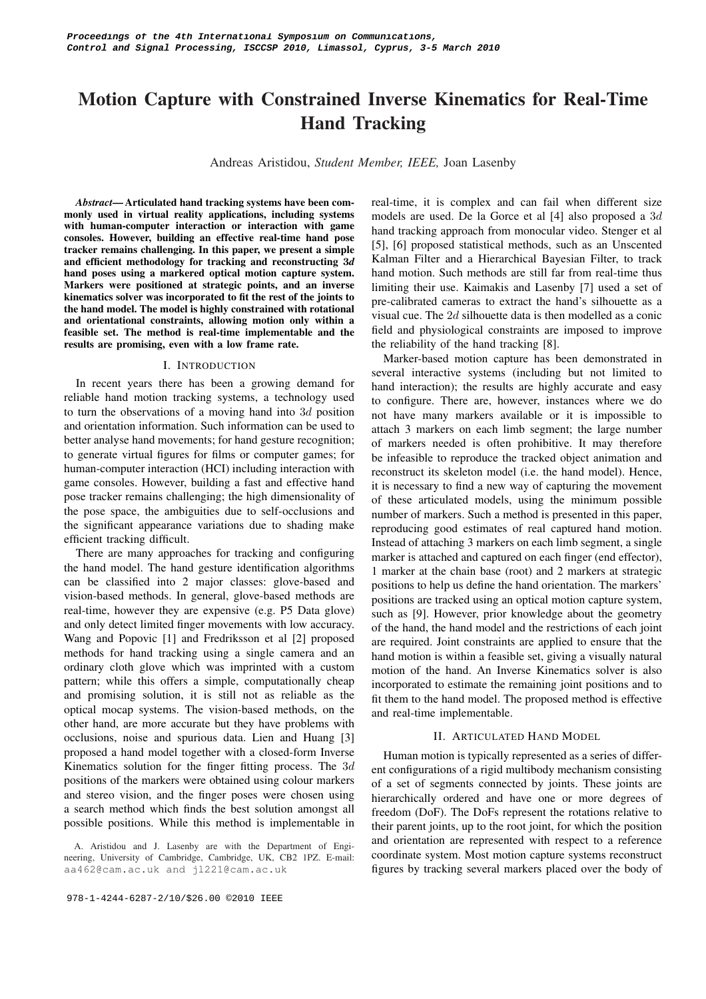# Motion Capture with Constrained Inverse Kinematics for Real-Time Hand Tracking

Andreas Aristidou, *Student Member, IEEE,* Joan Lasenby

*Abstract*— Articulated hand tracking systems have been commonly used in virtual reality applications, including systems with human-computer interaction or interaction with game consoles. However, building an effective real-time hand pose tracker remains challenging. In this paper, we present a simple and efficient methodology for tracking and reconstructing 3*d* hand poses using a markered optical motion capture system. Markers were positioned at strategic points, and an inverse kinematics solver was incorporated to fit the rest of the joints to the hand model. The model is highly constrained with rotational and orientational constraints, allowing motion only within a feasible set. The method is real-time implementable and the results are promising, even with a low frame rate.

### I. INTRODUCTION

In recent years there has been a growing demand for reliable hand motion tracking systems, a technology used to turn the observations of a moving hand into 3d position and orientation information. Such information can be used to better analyse hand movements; for hand gesture recognition; to generate virtual figures for films or computer games; for human-computer interaction (HCI) including interaction with game consoles. However, building a fast and effective hand pose tracker remains challenging; the high dimensionality of the pose space, the ambiguities due to self-occlusions and the significant appearance variations due to shading make efficient tracking difficult.

There are many approaches for tracking and configuring the hand model. The hand gesture identification algorithms can be classified into 2 major classes: glove-based and vision-based methods. In general, glove-based methods are real-time, however they are expensive (e.g. P5 Data glove) and only detect limited finger movements with low accuracy. Wang and Popovic [1] and Fredriksson et al [2] proposed methods for hand tracking using a single camera and an ordinary cloth glove which was imprinted with a custom pattern; while this offers a simple, computationally cheap and promising solution, it is still not as reliable as the optical mocap systems. The vision-based methods, on the other hand, are more accurate but they have problems with occlusions, noise and spurious data. Lien and Huang [3] proposed a hand model together with a closed-form Inverse Kinematics solution for the finger fitting process. The 3d positions of the markers were obtained using colour markers and stereo vision, and the finger poses were chosen using a search method which finds the best solution amongst all possible positions. While this method is implementable in

978-1-4244-6287-2/10/\$26.00 ©2010 IEEE

real-time, it is complex and can fail when different size models are used. De la Gorce et al [4] also proposed a 3d hand tracking approach from monocular video. Stenger et al [5], [6] proposed statistical methods, such as an Unscented Kalman Filter and a Hierarchical Bayesian Filter, to track hand motion. Such methods are still far from real-time thus limiting their use. Kaimakis and Lasenby [7] used a set of pre-calibrated cameras to extract the hand's silhouette as a visual cue. The 2d silhouette data is then modelled as a conic field and physiological constraints are imposed to improve the reliability of the hand tracking [8].

Marker-based motion capture has been demonstrated in several interactive systems (including but not limited to hand interaction); the results are highly accurate and easy to configure. There are, however, instances where we do not have many markers available or it is impossible to attach 3 markers on each limb segment; the large number of markers needed is often prohibitive. It may therefore be infeasible to reproduce the tracked object animation and reconstruct its skeleton model (i.e. the hand model). Hence, it is necessary to find a new way of capturing the movement of these articulated models, using the minimum possible number of markers. Such a method is presented in this paper, reproducing good estimates of real captured hand motion. Instead of attaching 3 markers on each limb segment, a single marker is attached and captured on each finger (end effector), 1 marker at the chain base (root) and 2 markers at strategic positions to help us define the hand orientation. The markers' positions are tracked using an optical motion capture system, such as [9]. However, prior knowledge about the geometry of the hand, the hand model and the restrictions of each joint are required. Joint constraints are applied to ensure that the hand motion is within a feasible set, giving a visually natural motion of the hand. An Inverse Kinematics solver is also incorporated to estimate the remaining joint positions and to fit them to the hand model. The proposed method is effective and real-time implementable.

## II. ARTICULATED HAND MODEL

Human motion is typically represented as a series of different configurations of a rigid multibody mechanism consisting of a set of segments connected by joints. These joints are hierarchically ordered and have one or more degrees of freedom (DoF). The DoFs represent the rotations relative to their parent joints, up to the root joint, for which the position and orientation are represented with respect to a reference coordinate system. Most motion capture systems reconstruct figures by tracking several markers placed over the body of

A. Aristidou and J. Lasenby are with the Department of Engineering, University of Cambridge, Cambridge, UK, CB2 1PZ. E-mail: aa462@cam.ac.uk and jl221@cam.ac.uk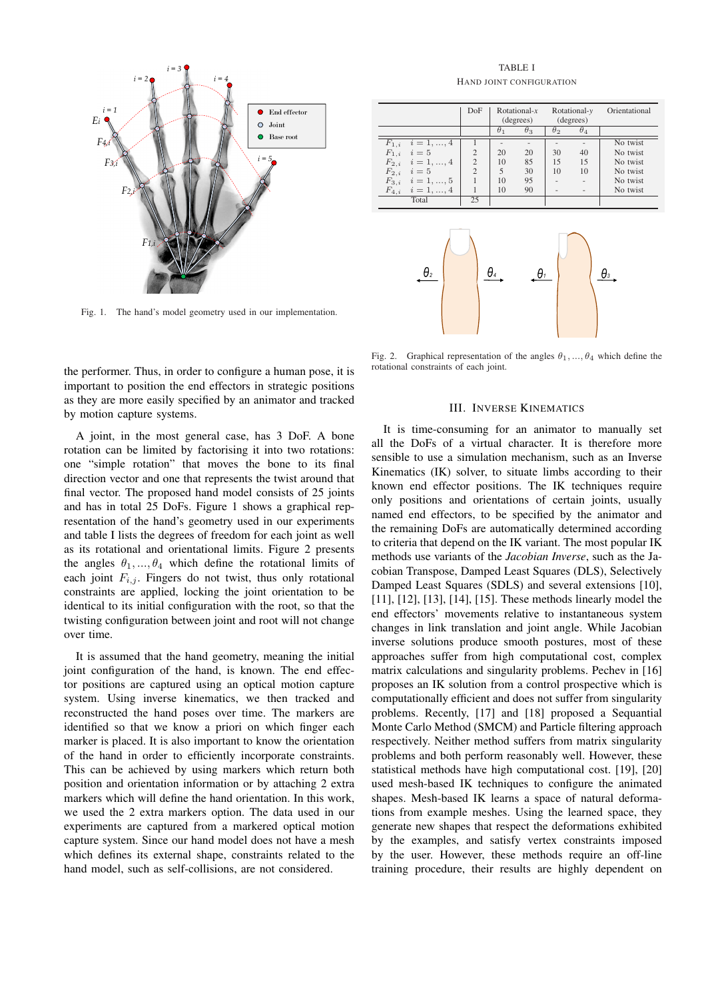

Fig. 1. The hand's model geometry used in our implementation.

the performer. Thus, in order to configure a human pose, it is important to position the end effectors in strategic positions as they are more easily specified by an animator and tracked by motion capture systems.

A joint, in the most general case, has 3 DoF. A bone rotation can be limited by factorising it into two rotations: one "simple rotation" that moves the bone to its final direction vector and one that represents the twist around that final vector. The proposed hand model consists of 25 joints and has in total 25 DoFs. Figure 1 shows a graphical representation of the hand's geometry used in our experiments and table I lists the degrees of freedom for each joint as well as its rotational and orientational limits. Figure 2 presents the angles  $\theta_1, ..., \theta_4$  which define the rotational limits of each joint  $F_{i,j}$ . Fingers do not twist, thus only rotational constraints are applied, locking the joint orientation to be identical to its initial configuration with the root, so that the twisting configuration between joint and root will not change over time.

It is assumed that the hand geometry, meaning the initial joint configuration of the hand, is known. The end effector positions are captured using an optical motion capture system. Using inverse kinematics, we then tracked and reconstructed the hand poses over time. The markers are identified so that we know a priori on which finger each marker is placed. It is also important to know the orientation of the hand in order to efficiently incorporate constraints. This can be achieved by using markers which return both position and orientation information or by attaching 2 extra markers which will define the hand orientation. In this work, we used the 2 extra markers option. The data used in our experiments are captured from a markered optical motion capture system. Since our hand model does not have a mesh which defines its external shape, constraints related to the hand model, such as self-collisions, are not considered.

TABLE I HAND JOINT CONFIGURATION



Fig. 2. Graphical representation of the angles  $\theta_1, ..., \theta_4$  which define the rotational constraints of each joint.

## III. INVERSE KINEMATICS

It is time-consuming for an animator to manually set all the DoFs of a virtual character. It is therefore more sensible to use a simulation mechanism, such as an Inverse Kinematics (IK) solver, to situate limbs according to their known end effector positions. The IK techniques require only positions and orientations of certain joints, usually named end effectors, to be specified by the animator and the remaining DoFs are automatically determined according to criteria that depend on the IK variant. The most popular IK methods use variants of the *Jacobian Inverse*, such as the Jacobian Transpose, Damped Least Squares (DLS), Selectively Damped Least Squares (SDLS) and several extensions [10], [11], [12], [13], [14], [15]. These methods linearly model the end effectors' movements relative to instantaneous system changes in link translation and joint angle. While Jacobian inverse solutions produce smooth postures, most of these approaches suffer from high computational cost, complex matrix calculations and singularity problems. Pechev in [16] proposes an IK solution from a control prospective which is computationally efficient and does not suffer from singularity problems. Recently, [17] and [18] proposed a Sequantial Monte Carlo Method (SMCM) and Particle filtering approach respectively. Neither method suffers from matrix singularity problems and both perform reasonably well. However, these statistical methods have high computational cost. [19], [20] used mesh-based IK techniques to configure the animated shapes. Mesh-based IK learns a space of natural deformations from example meshes. Using the learned space, they generate new shapes that respect the deformations exhibited by the examples, and satisfy vertex constraints imposed by the user. However, these methods require an off-line training procedure, their results are highly dependent on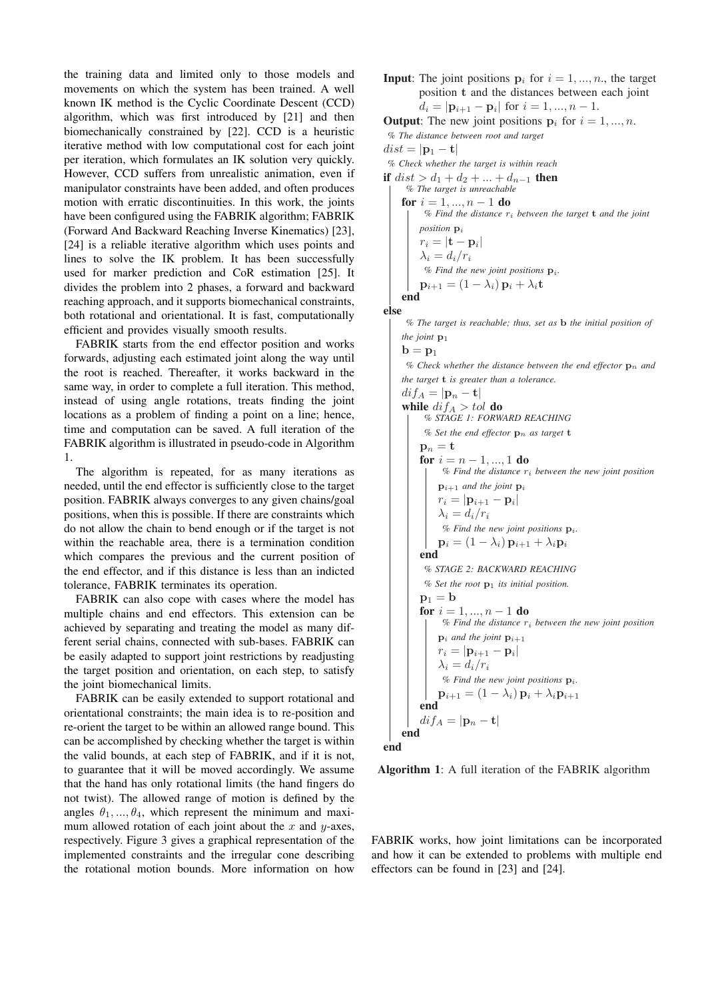the training data and limited only to those models and movements on which the system has been trained. A well known IK method is the Cyclic Coordinate Descent (CCD) algorithm, which was first introduced by [21] and then biomechanically constrained by [22]. CCD is a heuristic iterative method with low computational cost for each joint per iteration, which formulates an IK solution very quickly. However, CCD suffers from unrealistic animation, even if manipulator constraints have been added, and often produces motion with erratic discontinuities. In this work, the joints have been configured using the FABRIK algorithm; FABRIK (Forward And Backward Reaching Inverse Kinematics) [23], [24] is a reliable iterative algorithm which uses points and lines to solve the IK problem. It has been successfully used for marker prediction and CoR estimation [25]. It divides the problem into 2 phases, a forward and backward reaching approach, and it supports biomechanical constraints, both rotational and orientational. It is fast, computationally efficient and provides visually smooth results.

FABRIK starts from the end effector position and works forwards, adjusting each estimated joint along the way until the root is reached. Thereafter, it works backward in the same way, in order to complete a full iteration. This method, instead of using angle rotations, treats finding the joint locations as a problem of finding a point on a line; hence, time and computation can be saved. A full iteration of the FABRIK algorithm is illustrated in pseudo-code in Algorithm 1.

The algorithm is repeated, for as many iterations as needed, until the end effector is sufficiently close to the target position. FABRIK always converges to any given chains/goal positions, when this is possible. If there are constraints which do not allow the chain to bend enough or if the target is not within the reachable area, there is a termination condition which compares the previous and the current position of the end effector, and if this distance is less than an indicted tolerance, FABRIK terminates its operation.

FABRIK can also cope with cases where the model has multiple chains and end effectors. This extension can be achieved by separating and treating the model as many different serial chains, connected with sub-bases. FABRIK can be easily adapted to support joint restrictions by readjusting the target position and orientation, on each step, to satisfy the joint biomechanical limits.

FABRIK can be easily extended to support rotational and orientational constraints; the main idea is to re-position and re-orient the target to be within an allowed range bound. This can be accomplished by checking whether the target is within the valid bounds, at each step of FABRIK, and if it is not, to guarantee that it will be moved accordingly. We assume that the hand has only rotational limits (the hand fingers do not twist). The allowed range of motion is defined by the angles  $\theta_1, ..., \theta_4$ , which represent the minimum and maximum allowed rotation of each joint about the  $x$  and  $y$ -axes, respectively. Figure 3 gives a graphical representation of the implemented constraints and the irregular cone describing the rotational motion bounds. More information on how

**Input:** The joint positions  $\mathbf{p}_i$  for  $i = 1, ..., n$ , the target position t and the distances between each joint  $d_i = |\mathbf{p}_{i+1} - \mathbf{p}_i|$  for  $i = 1, ..., n - 1$ .

**Output:** The new joint positions  $\mathbf{p}_i$  for  $i = 1, ..., n$ . *% The distance between root and target*  $dist = |\mathbf{p}_1 - \mathbf{t}|$ *% Check whether the target is within reach* if  $dist > d_1 + d_2 + ... + d_{n-1}$  then *% The target is unreachable* for  $i = 1, ..., n - 1$  do  $%$  *Find the distance*  $r_i$  *between the target* **t** *and the joint position* p<sup>i</sup>  $r_i=|\mathbf{t}-\mathbf{p}_i|$  $\lambda_i = d_i/r_i$  $%$  *Find the new joint positions*  $p_i$ *.*  $\mathbf{p}_{i+1} = (1 - \lambda_i) \, \mathbf{p}_i + \lambda_i \mathbf{t}$ end else

*% The target is reachable; thus, set as* b *the initial position of the joint* **p**<sub>1</sub>

 $\mathbf{b} = \mathbf{p}_1$ 

 $%$  *Check whether the distance between the end effector*  $p_n$  *and the target* t *is greater than a tolerance.*

 $di f_A = |\mathbf{p}_n - \mathbf{t}|$ while  $di f_A > tol$  do *% STAGE 1: FORWARD REACHING*  $%$  *Set the end effector*  $\mathbf{p}_n$  *as target* **t**  $\mathbf{p}_n = \mathbf{t}$ for  $i = n - 1, ..., 1$  do  $%$  *Find the distance*  $r_i$  *between the new joint position*  $p_{i+1}$  *and the joint*  $p_i$  $r_i = |\mathbf{p}_{i+1} - \mathbf{p}_i|$  $\lambda_i = d_i/r_i$ *% Find the new joint positions* pi*.*  $\mathbf{p}_i = (1 - \lambda_i) \, \mathbf{p}_{i+1} + \lambda_i \mathbf{p}_i$ end *% STAGE 2: BACKWARD REACHING % Set the root* p<sup>1</sup> *its initial position.*  $\mathbf{p}_1 = \mathbf{b}$ for  $i = 1, ..., n - 1$  do  $%$  *Find the distance*  $r_i$  *between the new joint position*  $\mathbf{p}_i$  and the joint  $\mathbf{p}_{i+1}$  $r_i = |\mathbf{p}_{i+1} - \mathbf{p}_i|$  $\lambda_i = d_i/r_i$ *% Find the new joint positions* pi*.*  $\mathbf{p}_{i+1} = (1 - \lambda_i) \, \mathbf{p}_i + \lambda_i \mathbf{p}_{i+1}$ end  $di f_A = |\mathbf{p}_n - \mathbf{t}|$ end

end

Algorithm 1: A full iteration of the FABRIK algorithm

FABRIK works, how joint limitations can be incorporated and how it can be extended to problems with multiple end effectors can be found in [23] and [24].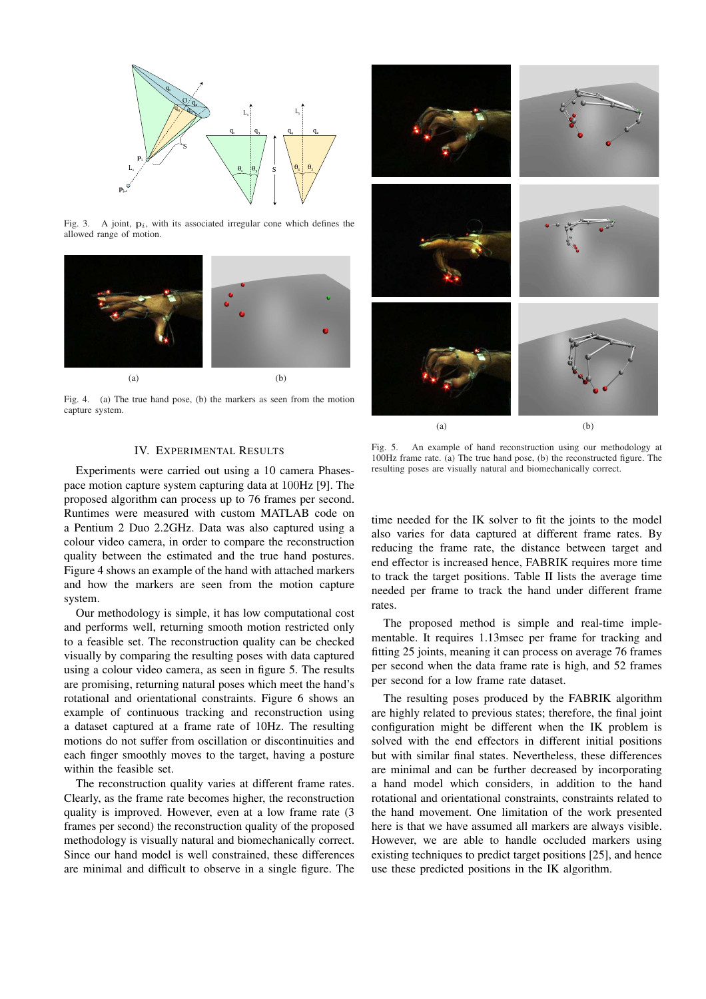

Fig. 3. A joint,  $\mathbf{p}_i$ , with its associated irregular cone which defines the allowed range of motion.



Fig. 4. (a) The true hand pose, (b) the markers as seen from the motion capture system.



IV. EXPERIMENTAL RESULTS

Experiments were carried out using a 10 camera Phasespace motion capture system capturing data at 100Hz [9]. The proposed algorithm can process up to 76 frames per second. Runtimes were measured with custom MATLAB code on a Pentium 2 Duo 2.2GHz. Data was also captured using a colour video camera, in order to compare the reconstruction quality between the estimated and the true hand postures. Figure 4 shows an example of the hand with attached markers and how the markers are seen from the motion capture system.

Our methodology is simple, it has low computational cost and performs well, returning smooth motion restricted only to a feasible set. The reconstruction quality can be checked visually by comparing the resulting poses with data captured using a colour video camera, as seen in figure 5. The results are promising, returning natural poses which meet the hand's rotational and orientational constraints. Figure 6 shows an example of continuous tracking and reconstruction using a dataset captured at a frame rate of 10Hz. The resulting motions do not suffer from oscillation or discontinuities and each finger smoothly moves to the target, having a posture within the feasible set.

The reconstruction quality varies at different frame rates. Clearly, as the frame rate becomes higher, the reconstruction quality is improved. However, even at a low frame rate (3 frames per second) the reconstruction quality of the proposed methodology is visually natural and biomechanically correct. Since our hand model is well constrained, these differences are minimal and difficult to observe in a single figure. The

Fig. 5. An example of hand reconstruction using our methodology at 100Hz frame rate. (a) The true hand pose, (b) the reconstructed figure. The resulting poses are visually natural and biomechanically correct.

time needed for the IK solver to fit the joints to the model also varies for data captured at different frame rates. By reducing the frame rate, the distance between target and end effector is increased hence, FABRIK requires more time to track the target positions. Table II lists the average time needed per frame to track the hand under different frame rates.

The proposed method is simple and real-time implementable. It requires 1.13msec per frame for tracking and fitting 25 joints, meaning it can process on average 76 frames per second when the data frame rate is high, and 52 frames per second for a low frame rate dataset.

The resulting poses produced by the FABRIK algorithm are highly related to previous states; therefore, the final joint configuration might be different when the IK problem is solved with the end effectors in different initial positions but with similar final states. Nevertheless, these differences are minimal and can be further decreased by incorporating a hand model which considers, in addition to the hand rotational and orientational constraints, constraints related to the hand movement. One limitation of the work presented here is that we have assumed all markers are always visible. However, we are able to handle occluded markers using existing techniques to predict target positions [25], and hence use these predicted positions in the IK algorithm.